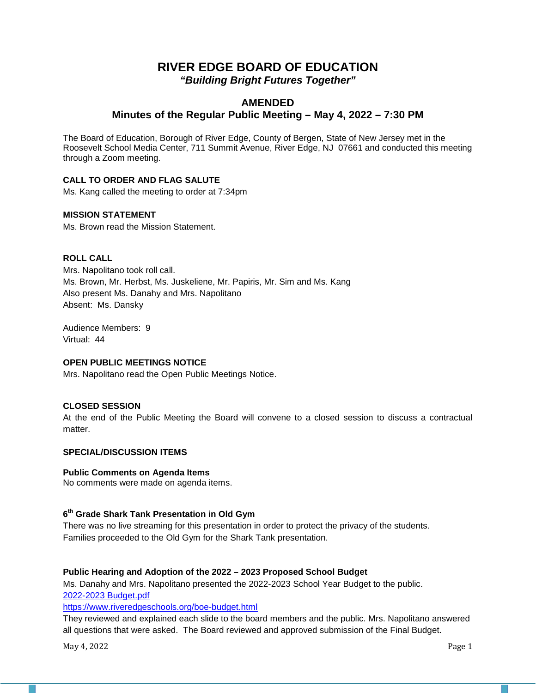# **RIVER EDGE BOARD OF EDUCATION** *"Building Bright Futures Together"*

# **AMENDED Minutes of the Regular Public Meeting – May 4, 2022 – 7:30 PM**

The Board of Education, Borough of River Edge, County of Bergen, State of New Jersey met in the Roosevelt School Media Center, 711 Summit Avenue, River Edge, NJ 07661 and conducted this meeting through a Zoom meeting.

# **CALL TO ORDER AND FLAG SALUTE**

Ms. Kang called the meeting to order at 7:34pm

# **MISSION STATEMENT**

Ms. Brown read the Mission Statement.

# **ROLL CALL**

Mrs. Napolitano took roll call. Ms. Brown, Mr. Herbst, Ms. Juskeliene, Mr. Papiris, Mr. Sim and Ms. Kang Also present Ms. Danahy and Mrs. Napolitano Absent: Ms. Dansky

Audience Members: 9 Virtual: 44

# **OPEN PUBLIC MEETINGS NOTICE**

Mrs. Napolitano read the Open Public Meetings Notice.

## **CLOSED SESSION**

At the end of the Public Meeting the Board will convene to a closed session to discuss a contractual matter.

## **SPECIAL/DISCUSSION ITEMS**

## **Public Comments on Agenda Items**

No comments were made on agenda items.

## **6th Grade Shark Tank Presentation in Old Gym**

There was no live streaming for this presentation in order to protect the privacy of the students. Families proceeded to the Old Gym for the Shark Tank presentation.

## **Public Hearing and Adoption of the 2022 – 2023 Proposed School Budget**

Ms. Danahy and Mrs. Napolitano presented the 2022-2023 School Year Budget to the public. 2022-2023 Budget.pdf

<https://www.riveredgeschools.org/boe-budget.html>

They reviewed and explained each slide to the board members and the public. Mrs. Napolitano answered all questions that were asked. The Board reviewed and approved submission of the Final Budget.

May 4, 2022 Page 1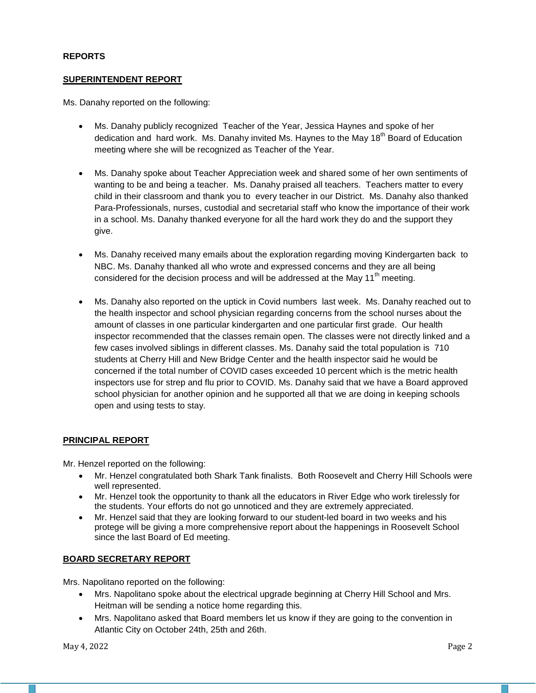## **REPORTS**

## **SUPERINTENDENT REPORT**

Ms. Danahy reported on the following:

- Ms. Danahy publicly recognized Teacher of the Year, Jessica Haynes and spoke of her dedication and hard work. Ms. Danahy invited Ms. Haynes to the May  $18<sup>th</sup>$  Board of Education meeting where she will be recognized as Teacher of the Year.
- Ms. Danahy spoke about Teacher Appreciation week and shared some of her own sentiments of wanting to be and being a teacher. Ms. Danahy praised all teachers. Teachers matter to every child in their classroom and thank you to every teacher in our District. Ms. Danahy also thanked Para-Professionals, nurses, custodial and secretarial staff who know the importance of their work in a school. Ms. Danahy thanked everyone for all the hard work they do and the support they give.
- Ms. Danahy received many emails about the exploration regarding moving Kindergarten back to NBC. Ms. Danahy thanked all who wrote and expressed concerns and they are all being considered for the decision process and will be addressed at the May  $11<sup>th</sup>$  meeting.
- Ms. Danahy also reported on the uptick in Covid numbers last week. Ms. Danahy reached out to the health inspector and school physician regarding concerns from the school nurses about the amount of classes in one particular kindergarten and one particular first grade. Our health inspector recommended that the classes remain open. The classes were not directly linked and a few cases involved siblings in different classes. Ms. Danahy said the total population is 710 students at Cherry Hill and New Bridge Center and the health inspector said he would be concerned if the total number of COVID cases exceeded 10 percent which is the metric health inspectors use for strep and flu prior to COVID. Ms. Danahy said that we have a Board approved school physician for another opinion and he supported all that we are doing in keeping schools open and using tests to stay.

# **PRINCIPAL REPORT**

Mr. Henzel reported on the following:

- Mr. Henzel congratulated both Shark Tank finalists. Both Roosevelt and Cherry Hill Schools were well represented.
- Mr. Henzel took the opportunity to thank all the educators in River Edge who work tirelessly for the students. Your efforts do not go unnoticed and they are extremely appreciated.
- Mr. Henzel said that they are looking forward to our student-led board in two weeks and his protege will be giving a more comprehensive report about the happenings in Roosevelt School since the last Board of Ed meeting.

# **BOARD SECRETARY REPORT**

Mrs. Napolitano reported on the following:

- Mrs. Napolitano spoke about the electrical upgrade beginning at Cherry Hill School and Mrs. Heitman will be sending a notice home regarding this.
- Mrs. Napolitano asked that Board members let us know if they are going to the convention in Atlantic City on October 24th, 25th and 26th.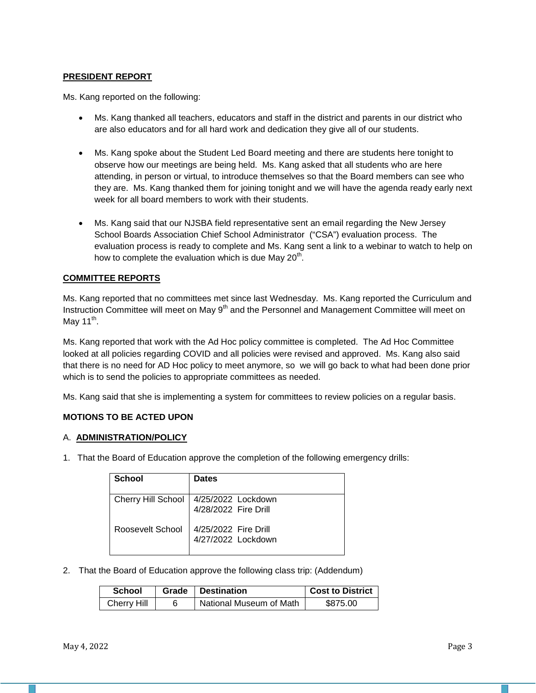# **PRESIDENT REPORT**

Ms. Kang reported on the following:

- Ms. Kang thanked all teachers, educators and staff in the district and parents in our district who are also educators and for all hard work and dedication they give all of our students.
- Ms. Kang spoke about the Student Led Board meeting and there are students here tonight to observe how our meetings are being held. Ms. Kang asked that all students who are here attending, in person or virtual, to introduce themselves so that the Board members can see who they are. Ms. Kang thanked them for joining tonight and we will have the agenda ready early next week for all board members to work with their students.
- Ms. Kang said that our NJSBA field representative sent an email regarding the New Jersey School Boards Association Chief School Administrator ("CSA") evaluation process. The evaluation process is ready to complete and Ms. Kang sent a link to a webinar to watch to help on how to complete the evaluation which is due May  $20<sup>th</sup>$ .

# **COMMITTEE REPORTS**

Ms. Kang reported that no committees met since last Wednesday. Ms. Kang reported the Curriculum and Instruction Committee will meet on May 9<sup>th</sup> and the Personnel and Management Committee will meet on May  $11^{th}$ .

Ms. Kang reported that work with the Ad Hoc policy committee is completed. The Ad Hoc Committee looked at all policies regarding COVID and all policies were revised and approved. Ms. Kang also said that there is no need for AD Hoc policy to meet anymore, so we will go back to what had been done prior which is to send the policies to appropriate committees as needed.

Ms. Kang said that she is implementing a system for committees to review policies on a regular basis.

# **MOTIONS TO BE ACTED UPON**

## A. **ADMINISTRATION/POLICY**

1. That the Board of Education approve the completion of the following emergency drills:

| <b>School</b>      | <b>Dates</b>                               |
|--------------------|--------------------------------------------|
|                    |                                            |
| Cherry Hill School | 4/25/2022 Lockdown                         |
|                    | 4/28/2022 Fire Drill                       |
| Roosevelt School   | 4/25/2022 Fire Drill<br>4/27/2022 Lockdown |

2. That the Board of Education approve the following class trip: (Addendum)

| <b>School</b> | Grade   Destination     | Cost to District |
|---------------|-------------------------|------------------|
| Cherry Hill   | National Museum of Math | \$875.00         |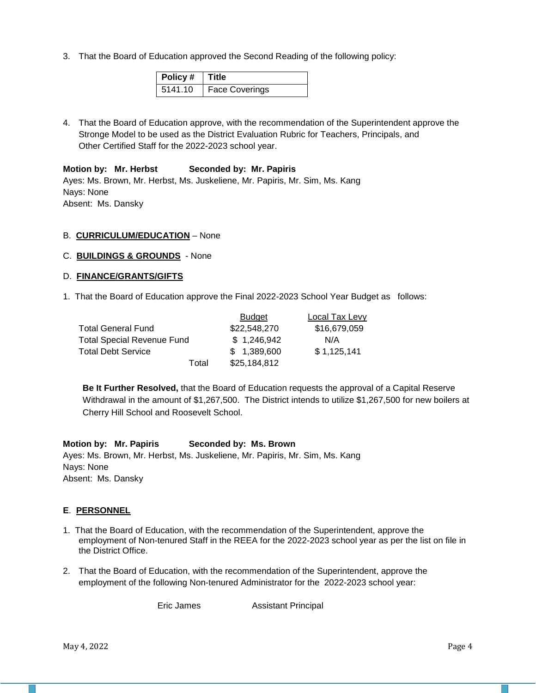3. That the Board of Education approved the Second Reading of the following policy:

| Policy #   Title |                |
|------------------|----------------|
| 5141.10          | Face Coverings |

4. That the Board of Education approve, with the recommendation of the Superintendent approve the Stronge Model to be used as the District Evaluation Rubric for Teachers, Principals, and Other Certified Staff for the 2022-2023 school year.

## **Motion by: Mr. Herbst Seconded by: Mr. Papiris**

Ayes: Ms. Brown, Mr. Herbst, Ms. Juskeliene, Mr. Papiris, Mr. Sim, Ms. Kang Nays: None Absent: Ms. Dansky

# B. **CURRICULUM/EDUCATION** – None

C. **BUILDINGS & GROUNDS** - None

# D. **FINANCE/GRANTS/GIFTS**

1. That the Board of Education approve the Final 2022-2023 School Year Budget as follows:

|                            | Budget       | Local Tax Levy |
|----------------------------|--------------|----------------|
| <b>Total General Fund</b>  | \$22,548,270 | \$16,679,059   |
| Total Special Revenue Fund | \$1,246,942  | N/A            |
| <b>Total Debt Service</b>  | \$1,389,600  | \$1,125,141    |
| Total                      | \$25,184,812 |                |

**Be It Further Resolved,** that the Board of Education requests the approval of a Capital Reserve Withdrawal in the amount of \$1,267,500. The District intends to utilize \$1,267,500 for new boilers at Cherry Hill School and Roosevelt School.

## **Motion by: Mr. Papiris Seconded by: Ms. Brown**

Ayes: Ms. Brown, Mr. Herbst, Ms. Juskeliene, Mr. Papiris, Mr. Sim, Ms. Kang Nays: None Absent: Ms. Dansky

# **E**. **PERSONNEL**

- 1. That the Board of Education, with the recommendation of the Superintendent, approve the employment of Non-tenured Staff in the REEA for the 2022-2023 school year as per the list on file in the District Office.
- 2. That the Board of Education, with the recommendation of the Superintendent, approve the employment of the following Non-tenured Administrator for the 2022-2023 school year:

Eric James Assistant Principal

May 4, 2022  $\qquad$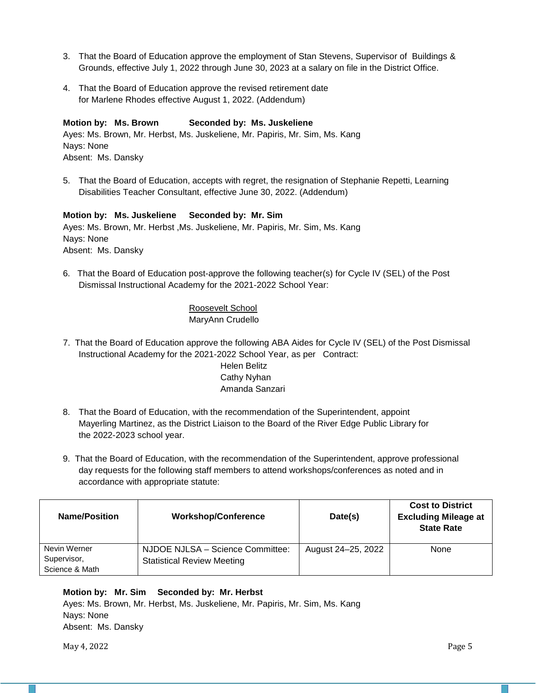- 3. That the Board of Education approve the employment of Stan Stevens, Supervisor of Buildings & Grounds, effective July 1, 2022 through June 30, 2023 at a salary on file in the District Office.
- 4. That the Board of Education approve the revised retirement date for Marlene Rhodes effective August 1, 2022. (Addendum)

# **Motion by: Ms. Brown Seconded by: Ms. Juskeliene**

Ayes: Ms. Brown, Mr. Herbst, Ms. Juskeliene, Mr. Papiris, Mr. Sim, Ms. Kang Nays: None Absent: Ms. Dansky

5. That the Board of Education, accepts with regret, the resignation of Stephanie Repetti, Learning Disabilities Teacher Consultant, effective June 30, 2022. (Addendum)

## **Motion by: Ms. Juskeliene Seconded by: Mr. Sim**

Ayes: Ms. Brown, Mr. Herbst ,Ms. Juskeliene, Mr. Papiris, Mr. Sim, Ms. Kang Nays: None Absent: Ms. Dansky

6. That the Board of Education post-approve the following teacher(s) for Cycle IV (SEL) of the Post Dismissal Instructional Academy for the 2021-2022 School Year:

> Roosevelt School MaryAnn Crudello

- 7. That the Board of Education approve the following ABA Aides for Cycle IV (SEL) of the Post Dismissal Instructional Academy for the 2021-2022 School Year, as per Contract: Helen Belitz Cathy Nyhan Amanda Sanzari
- 8. That the Board of Education, with the recommendation of the Superintendent, appoint Mayerling Martinez, as the District Liaison to the Board of the River Edge Public Library for the 2022-2023 school year.
- 9. That the Board of Education, with the recommendation of the Superintendent, approve professional day requests for the following staff members to attend workshops/conferences as noted and in accordance with appropriate statute:

| <b>Name/Position</b>                          | <b>Workshop/Conference</b>                                            | Date(s)            | <b>Cost to District</b><br><b>Excluding Mileage at</b><br><b>State Rate</b> |
|-----------------------------------------------|-----------------------------------------------------------------------|--------------------|-----------------------------------------------------------------------------|
| Nevin Werner<br>Supervisor,<br>Science & Math | NJDOE NJLSA - Science Committee:<br><b>Statistical Review Meeting</b> | August 24–25, 2022 | None                                                                        |

# **Motion by: Mr. Sim Seconded by: Mr. Herbst**

Ayes: Ms. Brown, Mr. Herbst, Ms. Juskeliene, Mr. Papiris, Mr. Sim, Ms. Kang Nays: None Absent: Ms. Dansky

May 4, 2022  $\blacksquare$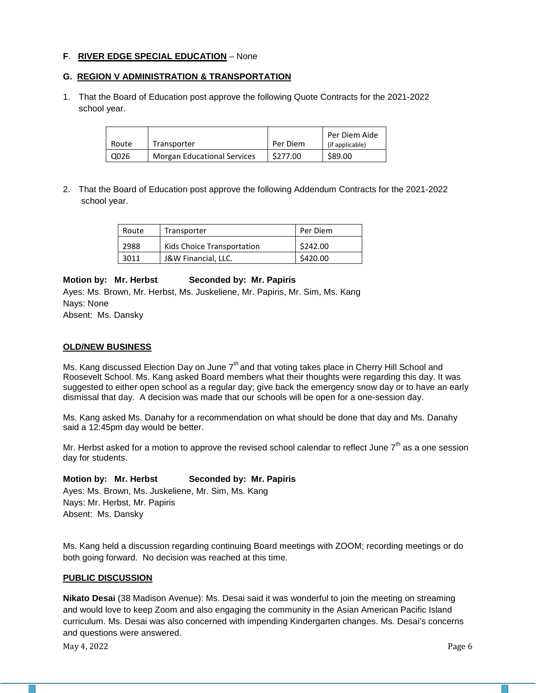## **F**. **RIVER EDGE SPECIAL EDUCATION** – None

# **G. REGION V ADMINISTRATION & TRANSPORTATION**

1. That the Board of Education post approve the following Quote Contracts for the 2021-2022 school year.

| Route | Transporter                        | Per Diem | Per Diem Aide<br>(if applicable) |
|-------|------------------------------------|----------|----------------------------------|
| Q026  | <b>Morgan Educational Services</b> | \$277.00 | \$89.00                          |

2. That the Board of Education post approve the following Addendum Contracts for the 2021-2022 school year.

| Route | Transporter                | Per Diem |
|-------|----------------------------|----------|
| 2988  | Kids Choice Transportation | \$242.00 |
| 3011  | J&W Financial, LLC.        | \$420.00 |

## **Motion by: Mr. Herbst Seconded by: Mr. Papiris**

Ayes: Ms. Brown, Mr. Herbst, Ms. Juskeliene, Mr. Papiris, Mr. Sim, Ms. Kang Nays: None

Absent: Ms. Dansky

## **OLD/NEW BUSINESS**

Ms. Kang discussed Election Day on June  $7<sup>th</sup>$  and that voting takes place in Cherry Hill School and Roosevelt School. Ms. Kang asked Board members what their thoughts were regarding this day. It was suggested to either open school as a regular day; give back the emergency snow day or to have an early dismissal that day. A decision was made that our schools will be open for a one-session day.

Ms. Kang asked Ms. Danahy for a recommendation on what should be done that day and Ms. Danahy said a 12:45pm day would be better.

Mr. Herbst asked for a motion to approve the revised school calendar to reflect June  $7<sup>th</sup>$  as a one session day for students.

## **Motion by: Mr. Herbst Seconded by: Mr. Papiris**

Ayes: Ms. Brown, Ms. Juskeliene, Mr. Sim, Ms. Kang Nays: Mr. Herbst, Mr. Papiris Absent: Ms. Dansky

Ms. Kang held a discussion regarding continuing Board meetings with ZOOM; recording meetings or do both going forward. No decision was reached at this time.

# **PUBLIC DISCUSSION**

**Nikato Desai** (38 Madison Avenue): Ms. Desai said it was wonderful to join the meeting on streaming and would love to keep Zoom and also engaging the community in the Asian American Pacific Island curriculum. Ms. Desai was also concerned with impending Kindergarten changes. Ms. Desai's concerns and questions were answered.

May 4, 2022 Page 6